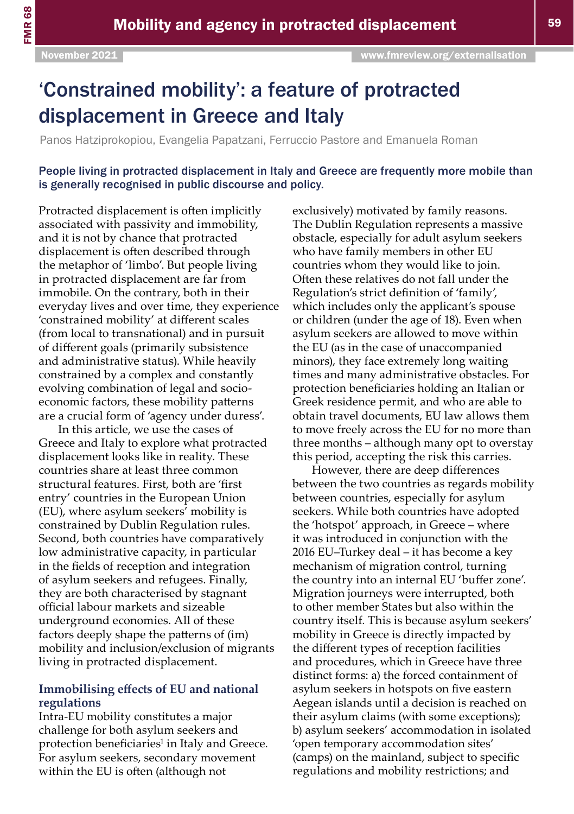# 'Constrained mobility': a feature of protracted displacement in Greece and Italy

Panos Hatziprokopiou, Evangelia Papatzani, Ferruccio Pastore and Emanuela Roman

People living in protracted displacement in Italy and Greece are frequently more mobile than is generally recognised in public discourse and policy.

Protracted displacement is often implicitly associated with passivity and immobility, and it is not by chance that protracted displacement is often described through the metaphor of 'limbo'. But people living in protracted displacement are far from immobile. On the contrary, both in their everyday lives and over time, they experience 'constrained mobility' at different scales (from local to transnational) and in pursuit of different goals (primarily subsistence and administrative status). While heavily constrained by a complex and constantly evolving combination of legal and socioeconomic factors, these mobility patterns are a crucial form of 'agency under duress'.

In this article, we use the cases of Greece and Italy to explore what protracted displacement looks like in reality. These countries share at least three common structural features. First, both are 'first entry' countries in the European Union (EU), where asylum seekers' mobility is constrained by Dublin Regulation rules. Second, both countries have comparatively low administrative capacity, in particular in the fields of reception and integration of asylum seekers and refugees. Finally, they are both characterised by stagnant official labour markets and sizeable underground economies. All of these factors deeply shape the patterns of (im) mobility and inclusion/exclusion of migrants living in protracted displacement.

### **Immobilising effects of EU and national regulations**

Intra-EU mobility constitutes a major challenge for both asylum seekers and protection beneficiaries<sup>1</sup> in Italy and Greece. For asylum seekers, secondary movement within the EU is often (although not

exclusively) motivated by family reasons. The Dublin Regulation represents a massive obstacle, especially for adult asylum seekers who have family members in other EU countries whom they would like to join. Often these relatives do not fall under the Regulation's strict definition of 'family', which includes only the applicant's spouse or children (under the age of 18). Even when asylum seekers are allowed to move within the EU (as in the case of unaccompanied minors), they face extremely long waiting times and many administrative obstacles. For protection beneficiaries holding an Italian or Greek residence permit, and who are able to obtain travel documents, EU law allows them to move freely across the EU for no more than three months – although many opt to overstay this period, accepting the risk this carries.

However, there are deep differences between the two countries as regards mobility between countries, especially for asylum seekers. While both countries have adopted the 'hotspot' approach, in Greece – where it was introduced in conjunction with the 2016 EU–Turkey deal – it has become a key mechanism of migration control, turning the country into an internal EU 'buffer zone'. Migration journeys were interrupted, both to other member States but also within the country itself. This is because asylum seekers' mobility in Greece is directly impacted by the different types of reception facilities and procedures, which in Greece have three distinct forms: a) the forced containment of asylum seekers in hotspots on five eastern Aegean islands until a decision is reached on their asylum claims (with some exceptions); b) asylum seekers' accommodation in isolated 'open temporary accommodation sites' (camps) on the mainland, subject to specific regulations and mobility restrictions; and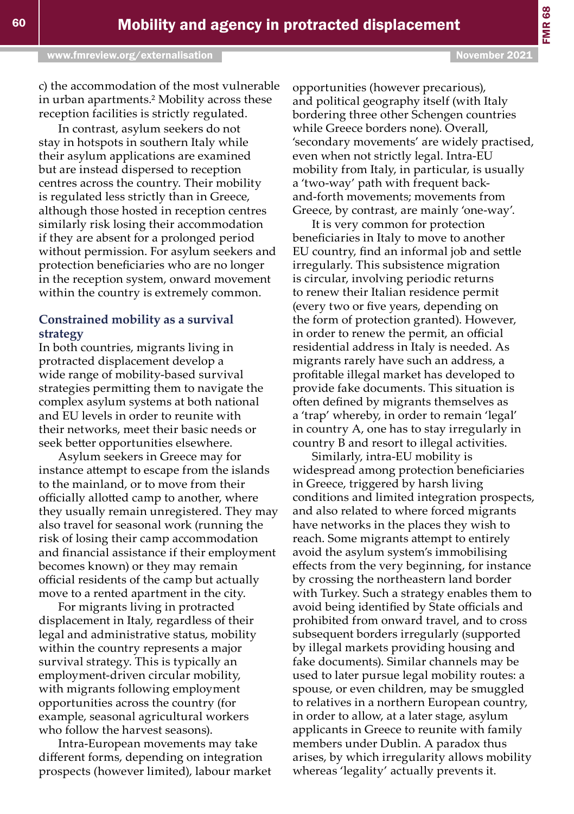opportunities (however precarious), and political geography itself (with Italy bordering three other Schengen countries while Greece borders none). Overall, 'secondary movements' are widely practised, even when not strictly legal. Intra-EU mobility from Italy, in particular, is usually a 'two-way' path with frequent backand-forth movements; movements from Greece, by contrast, are mainly 'one-way'.

It is very common for protection beneficiaries in Italy to move to another EU country, find an informal job and settle irregularly. This subsistence migration is circular, involving periodic returns to renew their Italian residence permit (every two or five years, depending on the form of protection granted). However, in order to renew the permit, an official residential address in Italy is needed. As migrants rarely have such an address, a profitable illegal market has developed to provide fake documents. This situation is often defined by migrants themselves as a 'trap' whereby, in order to remain 'legal' in country A, one has to stay irregularly in country B and resort to illegal activities.

Similarly, intra-EU mobility is widespread among protection beneficiaries in Greece, triggered by harsh living conditions and limited integration prospects, and also related to where forced migrants have networks in the places they wish to reach. Some migrants attempt to entirely avoid the asylum system's immobilising effects from the very beginning, for instance by crossing the northeastern land border with Turkey. Such a strategy enables them to avoid being identified by State officials and prohibited from onward travel, and to cross subsequent borders irregularly (supported by illegal markets providing housing and fake documents). Similar channels may be used to later pursue legal mobility routes: a spouse, or even children, may be smuggled to relatives in a northern European country, in order to allow, at a later stage, asylum applicants in Greece to reunite with family members under Dublin. A paradox thus arises, by which irregularity allows mobility whereas 'legality' actually prevents it.

c) the accommodation of the most vulnerable in urban apartments.<sup>2</sup> Mobility across these reception facilities is strictly regulated.

In contrast, asylum seekers do not stay in hotspots in southern Italy while their asylum applications are examined but are instead dispersed to reception centres across the country. Their mobility is regulated less strictly than in Greece, although those hosted in reception centres similarly risk losing their accommodation if they are absent for a prolonged period without permission. For asylum seekers and protection beneficiaries who are no longer in the reception system, onward movement within the country is extremely common.

#### **Constrained mobility as a survival strategy**

In both countries, migrants living in protracted displacement develop a wide range of mobility-based survival strategies permitting them to navigate the complex asylum systems at both national and EU levels in order to reunite with their networks, meet their basic needs or seek better opportunities elsewhere.

Asylum seekers in Greece may for instance attempt to escape from the islands to the mainland, or to move from their officially allotted camp to another, where they usually remain unregistered. They may also travel for seasonal work (running the risk of losing their camp accommodation and financial assistance if their employment becomes known) or they may remain official residents of the camp but actually move to a rented apartment in the city.

For migrants living in protracted displacement in Italy, regardless of their legal and administrative status, mobility within the country represents a major survival strategy. This is typically an employment-driven circular mobility, with migrants following employment opportunities across the country (for example, seasonal agricultural workers who follow the harvest seasons).

Intra-European movements may take different forms, depending on integration prospects (however limited), labour market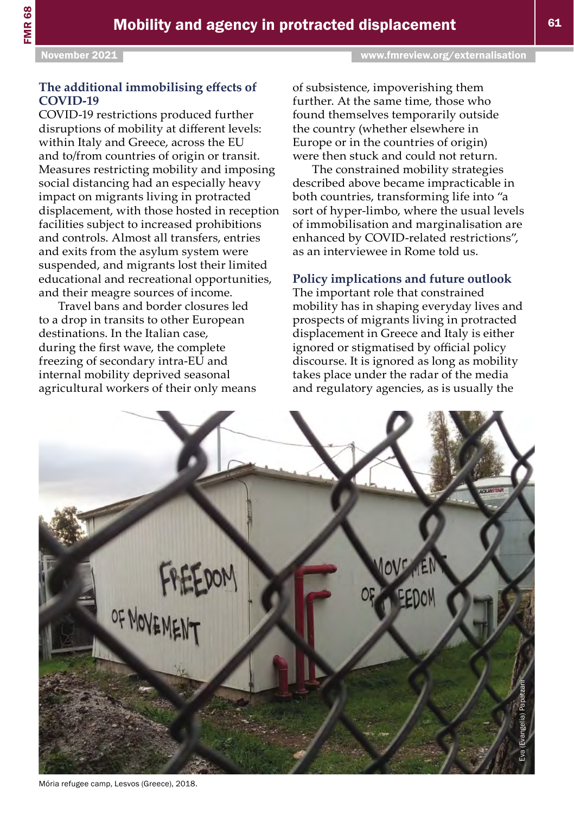## **The additional immobilising effects of COVID-19**

COVID-19 restrictions produced further disruptions of mobility at different levels: within Italy and Greece, across the EU and to/from countries of origin or transit. Measures restricting mobility and imposing social distancing had an especially heavy impact on migrants living in protracted displacement, with those hosted in reception facilities subject to increased prohibitions and controls. Almost all transfers, entries and exits from the asylum system were suspended, and migrants lost their limited educational and recreational opportunities, and their meagre sources of income.

Travel bans and border closures led to a drop in transits to other European destinations. In the Italian case, during the first wave, the complete freezing of secondary intra-EU and internal mobility deprived seasonal agricultural workers of their only means of subsistence, impoverishing them further. At the same time, those who found themselves temporarily outside the country (whether elsewhere in Europe or in the countries of origin) were then stuck and could not return.

The constrained mobility strategies described above became impracticable in both countries, transforming life into "a sort of hyper-limbo, where the usual levels of immobilisation and marginalisation are enhanced by COVID-related restrictions", as an interviewee in Rome told us.

# **Policy implications and future outlook**

The important role that constrained mobility has in shaping everyday lives and prospects of migrants living in protracted displacement in Greece and Italy is either ignored or stigmatised by official policy discourse. It is ignored as long as mobility takes place under the radar of the media and regulatory agencies, as is usually the



Mória refugee camp, Lesvos (Greece), 2018.